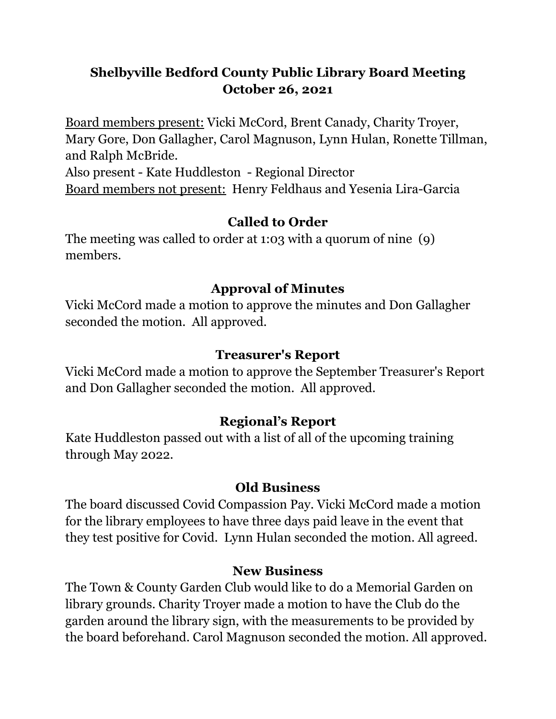# **Shelbyville Bedford County Public Library Board Meeting October 26, 2021**

Board members present: Vicki McCord, Brent Canady, Charity Troyer, Mary Gore, Don Gallagher, Carol Magnuson, Lynn Hulan, Ronette Tillman, and Ralph McBride. Also present - Kate Huddleston - Regional Director

Board members not present: Henry Feldhaus and Yesenia Lira-Garcia

## **Called to Order**

The meeting was called to order at 1:03 with a quorum of nine (9) members.

## **Approval of Minutes**

Vicki McCord made a motion to approve the minutes and Don Gallagher seconded the motion. All approved.

### **Treasurer's Report**

Vicki McCord made a motion to approve the September Treasurer's Report and Don Gallagher seconded the motion. All approved.

### **Regional's Report**

Kate Huddleston passed out with a list of all of the upcoming training through May 2022.

#### **Old Business**

The board discussed Covid Compassion Pay. Vicki McCord made a motion for the library employees to have three days paid leave in the event that they test positive for Covid. Lynn Hulan seconded the motion. All agreed.

#### **New Business**

The Town & County Garden Club would like to do a Memorial Garden on library grounds. Charity Troyer made a motion to have the Club do the garden around the library sign, with the measurements to be provided by the board beforehand. Carol Magnuson seconded the motion. All approved.